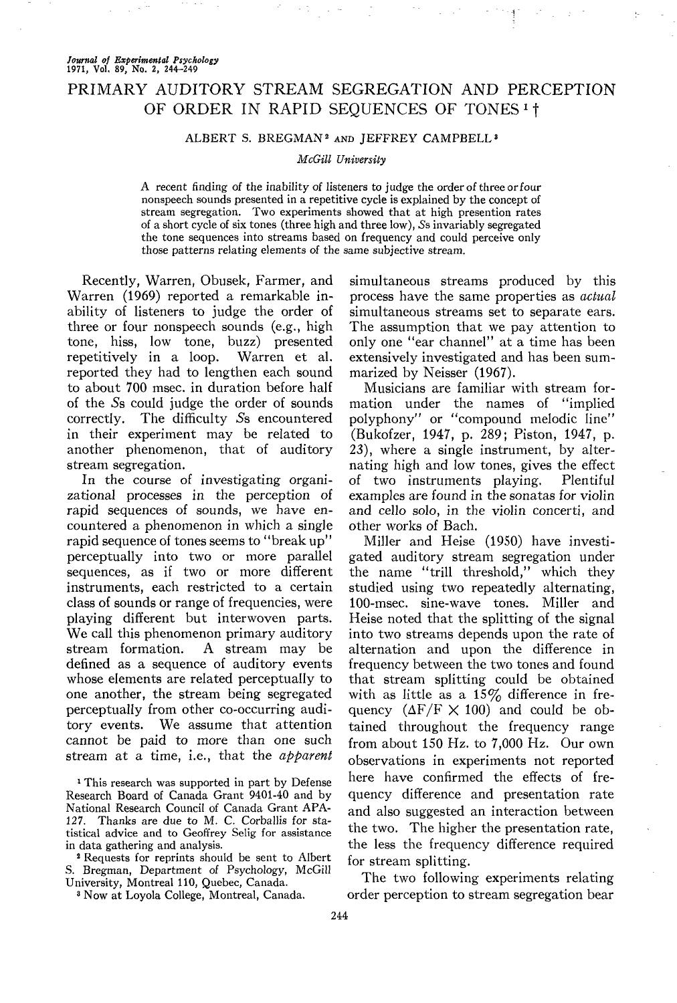# *Journal of Experimental Psychology* **1971, Vol. 89, No. 2, 244-249**

# PRIMARY AUDITORY STREAM SEGREGATION AND PERCEPTION OF ORDER IN RAPID SEQUENCES OF TONES<sup>1</sup>

## ALBERT S. BREGMAN<sup>2</sup> AND JEFFREY CAMPBELL<sup>3</sup>

### *McGill University*

A recent finding of the inability of listeners to judge the order of three or four nonspeech sounds presented in a repetitive cycle is explained by the concept of stream segregation. Two experiments showed that at high presention rates of a short cycle of six tones (three high and three low), 5s invariably segregated the tone sequences into streams based on frequency and could perceive only those patterns relating elements of the same subjective stream.

Recently, Warren, Obusek, Farmer, and Warren (1969) reported a remarkable inability of listeners to judge the order of three or four nonspeech sounds (e.g., high tone, hiss, low tone, buzz) presented repetitively in a loop. Warren et al. reported they had to lengthen each sound to about 700 msec, in duration before half of the 5s could judge the order of sounds correctly. The difficulty 5s encountered in their experiment may be related to another phenomenon, that of auditory stream segregation.

In the course of investigating organizational processes in the perception of rapid sequences of sounds, we have encountered a phenomenon in which a single rapid sequence of tones seems to "break up" perceptually into two or more parallel sequences, as if two or more different instruments, each restricted to a certain class of sounds or range of frequencies, were playing different but interwoven parts. We call this phenomenon primary auditory stream formation. A stream may be defined as a sequence of auditory events whose elements are related perceptually to one another, the stream being segregated perceptually from other co-occurring auditory events. We assume that attention cannot be paid to more than one such stream at a time, i.e., that the *apparent*

<sup>1</sup> This research was supported in part by Defense Research Board of Canada Grant 9401-40 and by National Research Council of Canada Grant APA-127. Thanks are due to M. C. Corballis for statistical advice and to Geoffrey Selig for assistance in data gathering and analysis.

2 Requests for reprints should be sent to Albert S. Bregman, Department of Psychology, McGill University, Montreal 110, Quebec, Canada.

3 Now at Loyola College, Montreal, Canada.

simultaneous streams produced by this process have the same properties as *actual* simultaneous streams set to separate ears. The assumption that we pay attention to only one "ear channel" at a time has been extensively investigated and has been summarized by Neisser (1967).

Musicians are familiar with stream formation under the names of "implied polyphony" or "compound melodic line" (Bukofzer, 1947, p. 289; Piston, 1947, p. 23), where a single instrument, by alternating high and low tones, gives the effect of two instruments playing, Plentiful examples are found in the sonatas for violin and cello solo, in the violin concerti, and other works of Bach.

Miller and Heise (1950) have investigated auditory stream segregation under the name "trill threshold," which they studied using two repeatedly alternating, 100-msec. sine-wave tones. Miller and Heise noted that the splitting of the signal into two streams depends upon the rate of alternation and upon the difference in frequency between the two tones and found that stream splitting could be obtained with as little as a  $15\%$  difference in frequency  $(\Delta F/F \times 100)$  and could be obtained throughout the frequency range from about 150 Hz. to 7,000 Hz. Our own observations in experiments not reported here have confirmed the effects of frequency difference and presentation rate and also suggested an interaction between the two. The higher the presentation rate, the less the frequency difference required for stream splitting.

The two following experiments relating order perception to stream segregation bear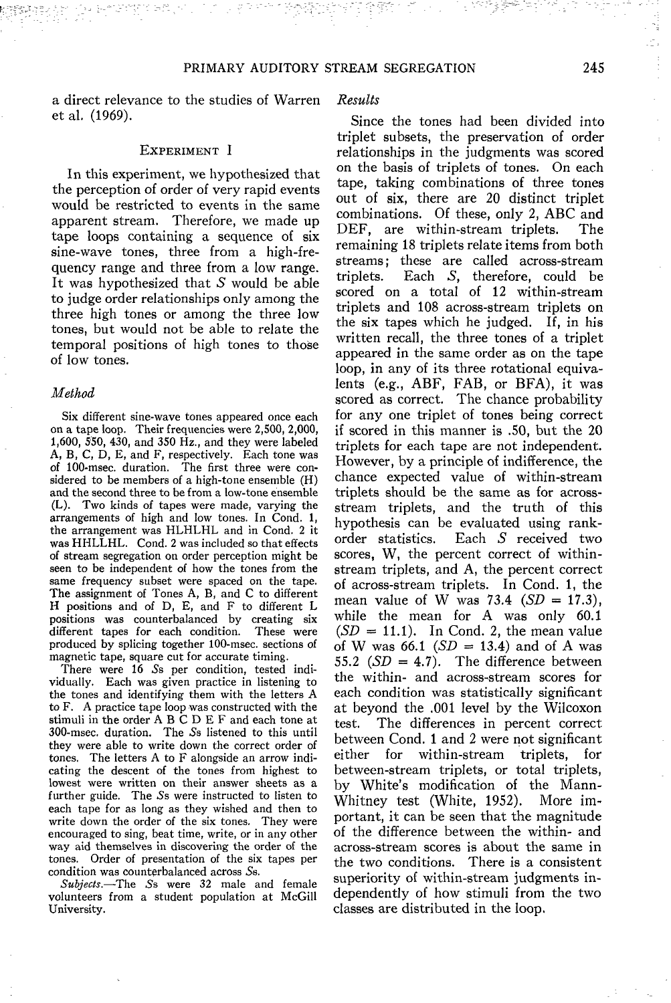a direct relevance to the studies of Warren et al. (1969).

#### EXPERIMENT I

In this experiment, we hypothesized that the perception of order of very rapid events would be restricted to events in the same apparent stream. Therefore, we made up tape loops containing a sequence of six sine-wave tones, three from a high-frequency range and three from a low range. It was hypothesized that  $S$  would be able to judge order relationships only among the three high tones or among the three low tones, but would not be able to relate the temporal positions of high tones to those of low tones.

#### *Method*

Six different sine-wave tones appeared once each on a tape loop. Their frequencies were 2,500, 2,000, 1,600, 550, 430, and 350 Hz., and they were labeled A, B, C, D, E, and F, respectively. Each tone was of 100-msec. duration. The first three were considered to be members of a high-tone ensemble (H) and the second three to be from a low-tone ensemble (L). Two kinds of tapes were made, varying the arrangements of high and low tones. In Cond. 1, the arrangement was HLHLHL and in Cond. 2 it was HHLLHL. Cond. 2 was included so that effects of stream segregation on order perception might be seen to be independent of how the tones from the same frequency subset were spaced on the tape. The assignment of Tones A, B, and C to different H positions and of D, E, and F to different L positions was counterbalanced by creating six different tapes for each condition. These were produced by splicing together 100-msec. sections of magnetic tape, square cut for accurate timing.

There were 16 5s per condition, tested individually. Each was given practice in listening to the tones and identifying them with the letters A to F. A practice tape loop was constructed with the stimuli in the order A B C D E F and each tone at 300-msec. duration. The 5s listened to this until they were able to write down the correct order of tones. The letters A to F alongside an arrow indicating the descent of the tones from highest to lowest were written on their answer sheets as a further guide. The Ss were instructed to listen to each tape for as long as they wished and then to write down the order of the six tones. They were encouraged to sing, beat time, write, or in any other way aid themselves in discovering the order of the tones. Order of presentation of the six tapes per condition was counterbalanced across 5s.

*Subjects.*—The 5s were 32 male and female volunteers from a student population at McGill University.

### *Results*

Since the tones had been divided into triplet subsets, the preservation of order relationships in the judgments was scored on the basis of triplets of tones. On each tape, taking combinations of three tones out of six, there are 20 distinct triplet combinations. Of these, only 2, ABC and<br>DEF. are within-stream triplets. The DEF, are within-stream triplets. remaining 18 triplets relate items from both streams; these are called across-stream<br>triplets. Each S, therefore, could be Each S, therefore, could be scored on a total of 12 within-stream triplets and 108 across-stream triplets on the six tapes which he judged. If, in his written recall, the three tones of a triplet appeared in the same order as on the tape loop, in any of its three rotational equivalents (e.g., ABF, FAB, or BFA), it was scored as correct. The chance probability for any one triplet of tones being correct if scored in this manner is .50, but the 20 triplets for each tape are not independent. However, by a principle of indifference, the chance expected value of within-stream triplets should be the same as for acrossstream triplets, and the truth of this hypothesis can be evaluated using rankorder statistics. Each *S* received two scores, W, the percent correct of withinstream triplets, and A, the percent correct of across-stream triplets. In Cond. 1, the mean value of W was 73.4 *(SD* = 17.3), while the mean for A was only 60.1  $(SD = 11.1)$ . In Cond. 2, the mean value of W was 66.1 *(SD =* 13.4) and of A was 55.2 *(SD =* 4.7). The difference between the within- and across-stream scores for each condition was statistically significant at beyond the .001 level by the Wilcoxon test. The differences in percent correct between Cond. 1 and 2 were not significant either for within-stream triplets, for between-stream triplets, or total triplets, by White's modification of the Mann-Whitney test (White, 1952). More important, it can be seen that the magnitude of the difference between the within- and across-stream scores is about the same in the two conditions. There is a consistent superiority of within-stream judgments independently of how stimuli from the two classes are distributed in the loop.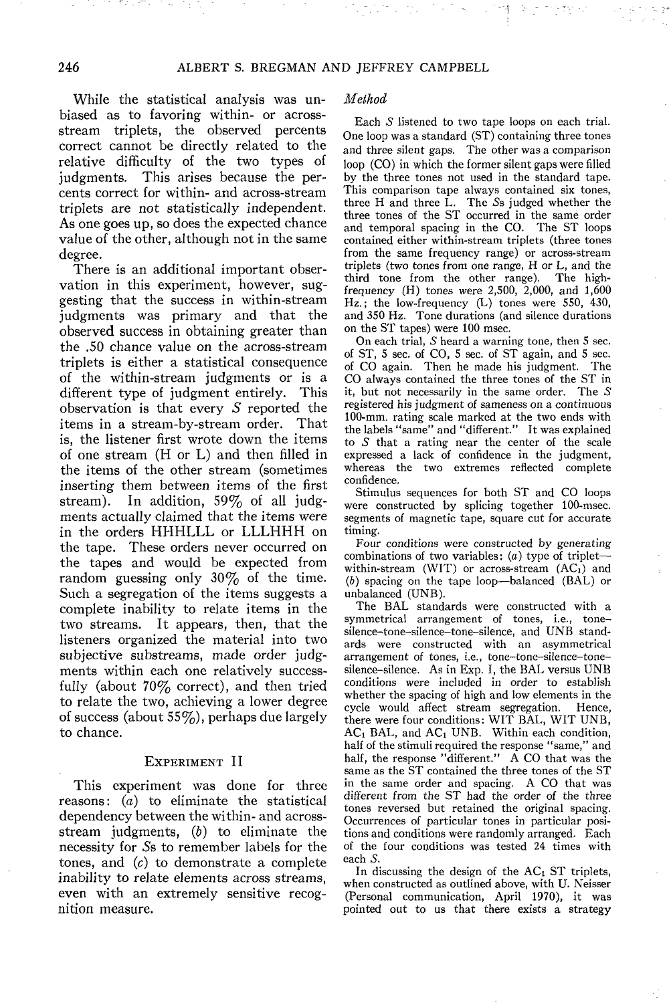While the statistical analysis was unbiased as to favoring within- or acrossstream triplets, the observed percents correct cannot be directly related to the relative difficulty of the two types of judgments. This arises because the percents correct for within- and across-stream triplets are not statistically independent. As one goes up, so does the expected chance value of the other, although not in the same degree.

There is an additional important observation in this experiment, however, suggesting that the success in within-stream judgments was primary and that the observed success in obtaining greater than the .50 chance value on the across-stream triplets is either a statistical consequence of the within-stream judgments or is a different type of judgment entirely. This observation is that every  $S$  reported the items in a stream-by-stream order. That is, the listener first wrote down the items of one stream (H or L) and then filled in the items of the other stream (sometimes inserting them between items of the first stream). In addition, 59% of all judgments actually claimed that the items were in the orders HHHLLL or LLLHHH on the tape. These orders never occurred on the tapes and would be expected from random guessing only  $30\%$  of the time. Such a segregation of the items suggests a complete inability to relate items in the two streams. It appears, then, that the listeners organized the material into two subjective substreams, made order judgments within each one relatively successfully (about 70% correct), and then tried to relate the two, achieving a lower degree of success (about  $55\%$ ), perhaps due largely to chance.

#### EXPERIMENT II

This experiment was done for three reasons:  $(a)$  to eliminate the statistical dependency between the within- and acrossstream judgments, *(b)* to eliminate the necessity for 5s to remember labels for the tones, and *(c)* to demonstrate a complete inability to relate elements across streams, even with an extremely sensitive recognition measure.

#### *Method*

Each S listened to two tape loops on each trial. One loop was a standard (ST) containing three tones and three silent gaps. The other was a comparison loop (CO) in which the former silent gaps were filled by the three tones not used in the standard tape. This comparison tape always contained six tones, three H and three L. The 5s judged whether the three tones of the ST occurred in the same order and temporal spacing in the CO. The ST loops contained either within-stream triplets (three tones from the same frequency range) or across-stream triplets (two tones from one range, H or L, and the third tone from the other range). The highfrequency  $(H)$  tones were 2,500, 2,000, and 1,600 Hz.; the low-frequency (L) tones were 550, 430, and 350 Hz. Tone durations (and silence durations on the ST tapes) were 100 msec.

On each trial, S heard a warning tone, then 5 sec. of ST, 5 sec. of CO, 5 sec. of ST again, and 5 sec. of CO again. Then he made his judgment. The CO always contained the three tones of the ST in it, but not necessarily in the same order. The  $S$ registered his judgment of sameness on a continuous 100-mm. rating scale marked at the two ends with the labels "same" and "different." It was explained to *S* that a rating near the center of the scale expressed a lack of confidence in the judgment, whereas the two extremes reflected complete confidence.

Stimulus sequences for both ST and CO loops were constructed by splicing together 100-msec. segments of magnetic tape, square cut for accurate timing.

Four conditions were constructed by generating combinations of two variables:  $(a)$  type of triplet within-stream (WIT) or across-stream  $(AC<sub>1</sub>)$  and (6) spacing on the tape loop—balanced (BAL) or unbalanced (UNB).

The BAL standards were constructed with a symmetrical arrangement of tones, i.e., tone silence-tone-silence-tone-silence, and UNB standards were constructed with an asymmetrical arrangement of tones, i.e., tone-tone-silence-tonesilence-silence. As in Exp. I, the BAL versus UNB conditions were included in order to establish whether the spacing of high and low elements in the cycle would affect stream segregation. Hence, there were four conditions: WIT BAL, WIT UNB,  $AC<sub>1</sub> BAL$ , and  $AC<sub>1</sub> UNB$ . Within each condition, half of the stimuli required the response "same," and half, the response "different." A CO that was the same as the ST contained the three tones of the ST in the same order and spacing. A CO that was different from the ST had the order of the three tones reversed but retained the original spacing. Occurrences of particular tones in particular positions and conditions were randomly arranged. Each of the four conditions was tested 24 times with each *S.*

In discussing the design of the  $AC<sub>I</sub> ST$  triplets, when constructed as outlined above, with U. Neisser (Personal communication, April 1970), it was pointed out to us that there exists a strategy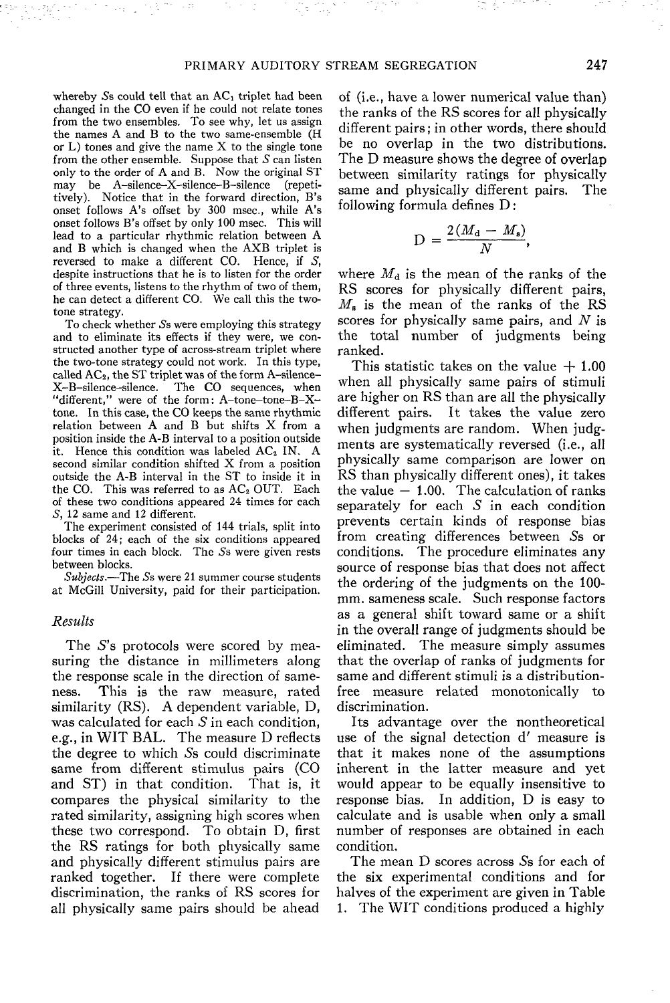whereby  $S$ s could tell that an  $AC<sub>1</sub>$  triplet had been changed in the CO even if he could not relate tones from the two ensembles. To see why, let us assign the names A and B to the two same-ensemble (H or  $L$ ) tones and give the name  $X$  to the single tone from the other ensemble. Suppose that *S* can listen only to the order of A and B. Now the original ST may be A-silence-X-silence-B-silence (repetitively). Notice that in the forward direction, B's onset follows A's offset by 300 msec., while A's onset follows B's offset by only 100 msec. This will lead to a particular rhythmic relation between A and B which is changed when the AXB triplet is reversed to make a different CO. Hence, if *S,* despite instructions that he is to listen for the order of three events, listens to the rhythm of two of them, he can detect a different CO. We call this the twotone strategy.

To check whether 5s were employing this strategy and to eliminate its effects if they were, we constructed another type of across-stream triplet where the two-tone strategy could not work. In this type, called AC<sub>2</sub>, the ST triplet was of the form A-silence-X-B-silence-silence. The CO sequences, when "different," were of the form: A-tone-tone-B-Xtone. In this case, the CO keeps the same rhythmic relation between A and B but shifts X from a position inside the A-B interval to a position outside it. Hence this condition was labeled AC<sub>2</sub> IN. A second similar condition shifted X from a position outside the A-B interval in the ST to inside it in the CO. This was referred to as  $AC<sub>2</sub>$  OUT. Each of these two conditions appeared 24 times for each *S,* 12 same and 12 different.

The experiment consisted of 144 trials, split into blocks of 24; each of the six conditions appeared four times in each block. The Ss were given rests between blocks.

*Subjects.*—The 5s were 21 summer course students at McGill University, paid for their participation.

### *Results*

The *S's* protocols were scored by measuring the distance in millimeters along the response scale in the direction of sameness. This is the raw measure, rated similarity (RS). A dependent variable, D, was calculated for each  $S$  in each condition, e.g., in WIT BAL. The measure D reflects the degree to which 5s could discriminate same from different stimulus pairs (CO and ST) in that condition. That is, it compares the physical similarity to the rated similarity, assigning high scores when these two correspond. To obtain D, first the RS ratings for both physically same and physically different stimulus pairs are ranked together. If there were complete discrimination, the ranks of RS scores for all physically same pairs should be ahead

of (i.e., have a lower numerical value than) the ranks of the RS scores for all physically different pairs; in other words, there should be no overlap in the two distributions. The D measure shows the degree of overlap between similarity ratings for physically same and physically different pairs. The following formula defines D:

$$
D = \frac{2(M_d - M_s)}{N}
$$

where *Md* is the mean of the ranks of the RS scores for physically different pairs, *M<sup>s</sup>* is the mean of the ranks of the RS scores for physically same pairs, and *N* is the total number of judgments being ranked.

This statistic takes on the value  $+1.00$ when all physically same pairs of stimuli are higher on RS than are all the physically different pairs. It takes the value zero when judgments are random. When judgments are systematically reversed (i.e., all physically same comparison are lower on RS than physically different ones), it takes the value  $-1.00$ . The calculation of ranks separately for each  $S$  in each condition prevents certain kinds of response bias from creating differences between 5s or conditions. The procedure eliminates any source of response bias that does not affect the ordering of the judgments on the 100 mm. sameness scale. Such response factors as a general shift toward same or a shift in the overall range of judgments should be eliminated. The measure simply assumes that the overlap of ranks of judgments for same and different stimuli is a distributionfree measure related monotonically to discrimination.

Its advantage over the nontheoretical use of the signal detection d' measure is that it makes none of the assumptions inherent in the latter measure and yet would appear to be equally insensitive to response bias. In addition, D is easy to calculate and is usable when only a small number of responses are obtained in each condition.

The mean D scores across Ss for each of the six experimental conditions and for halves of the experiment are given in Table 1. The WIT conditions produced a highly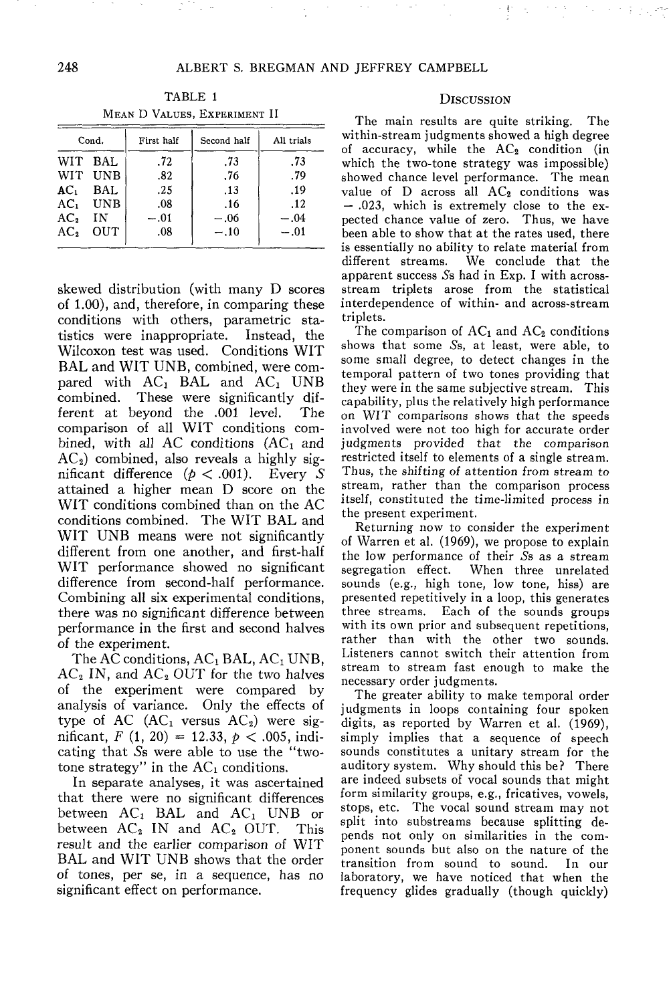Cond. WIT BAL WIT UNB ACi BAL ACi UNB  $AC<sub>2</sub>$  IN AC2 OUT First half .72 .82 .25 .08  $-.01$ .08 Second half .73 .76 .13 .16  $-.06$  $-.10$ All trials .73 .79 .19 .12  $-.04$  $-.01$ 

TABLE 1 MEAN D VALUES, EXPERIMENT II

skewed distribution (with many D scores of 1.00), and, therefore, in comparing these conditions with others, parametric statistics were inappropriate. Instead, the Wilcoxon test was used. Conditions WIT BAL and WIT UNB, combined, were compared with  $AC_1$  BAL and  $AC_1$  UNB combined. These were significantly dif-<br>ferent at beyond the .001 level. The ferent at beyond the .001 level. comparison of all WIT conditions combined, with all AC conditions  $(AC<sub>1</sub>$  and  $AC<sub>2</sub>$ ) combined, also reveals a highly significant difference *(p <* .001). Every 5 attained a higher mean D score on the WIT conditions combined than on the AC conditions combined. The WIT BAL and WIT UNB means were not significantly different from one another, and first-half WIT performance showed no significant difference from second-half performance. Combining all six experimental conditions, there was no significant difference between performance in the first and second halves of the experiment.

The AC conditions,  $AC<sub>1</sub> BAL$ ,  $AC<sub>1</sub> UNB$ ,  $AC<sub>2</sub>$  IN, and  $AC<sub>2</sub>$  OUT for the two halves of the experiment were compared by analysis of variance. Only the effects of type of AC  $(AC<sub>1</sub>$  versus  $AC<sub>2</sub>$ ) were significant,  $F(1, 20) = 12.33, p < .005, \text{indi-}$ cating that 5s were able to use the "twotone strategy" in the  $AC<sub>1</sub>$  conditions.

In separate analyses, it was ascertained that there were no significant differences between  $AC_1$  BAL and  $AC_1$  UNB or between  $AC_2$  IN and  $AC_2$  OUT. This between  $AC_2$  IN and  $AC_2$  OUT. result and the earlier comparison of WIT BAL and WIT UNB shows that the order of tones, per se, in a sequence, has no significant effect on performance.

#### **DISCUSSION**

The main results are quite striking. The within-stream judgments showed a high degree of accuracy, while the  $AC<sub>2</sub>$  condition (in which the two-tone strategy was impossible) showed chance level performance. The mean value of  $D$  across all  $AC<sub>2</sub>$  conditions was — .023, which is extremely close to the expected chance value of zero. Thus, we have been able to show that at the rates used, there is essentially no ability to relate material from different streams. We conclude that the apparent success 5s had in Exp. I with acrossstream triplets arose from the statistical interdependence of within- and across-stream triplets.

The comparison of  $AC_1$  and  $AC_2$  conditions shows that some 5s, at least, were able, to some small degree, to detect changes in the temporal pattern of two tones providing that they were in the same subjective stream. This capability, plus the relatively high performance on WIT comparisons shows that the speeds involved were not too high for accurate order judgments provided that the comparison restricted itself to elements of a single stream. Thus, the shifting of attention from stream to stream, rather than the comparison process itself, constituted the time-limited process in the present experiment.

Returning now to consider the experiment of Warren et al. (1969), we propose to explain the low performance of their Ss as a stream<br>segregation effect. When three unrelated When three unrelated sounds (e.g., high tone, low tone, hiss) are presented repetitively in a loop, this generates three streams. Each of the sounds groups with its own prior and subsequent repetitions. rather than with the other two sounds. Listeners cannot switch their attention from stream to stream fast enough to make the necessary order judgments.

The greater ability to make temporal order judgments in loops containing four spoken digits, as reported by Warren et al. (1969), simply implies that a sequence of speech sounds constitutes a unitary stream for the auditory system. Why should this be? There are indeed subsets of vocal sounds that might form similarity groups, e.g., fricatives, vowels, stops, etc. The vocal sound stream may not split into substreams because splitting depends not only on similarities in the component sounds but also on the nature of the transition from sound to sound. In our laboratory, we have noticed that when the frequency glides gradually (though quickly)